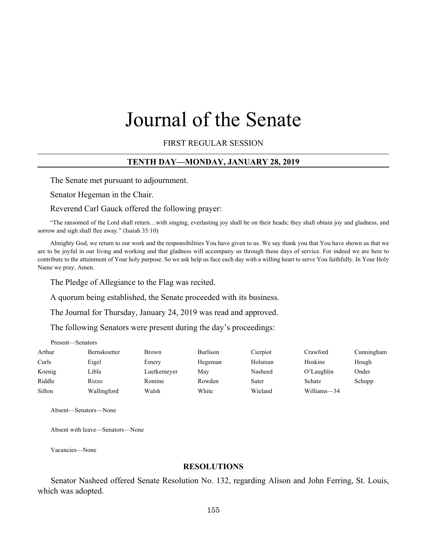# Journal of the Senate

FIRST REGULAR SESSION

## **TENTH DAY—MONDAY, JANUARY 28, 2019**

The Senate met pursuant to adjournment.

Senator Hegeman in the Chair.

#### Reverend Carl Gauck offered the following prayer:

"The ransomed of the Lord shall return…with singing, everlasting joy shall be on their heads; they shall obtain joy and gladness, and sorrow and sigh shall flee away." (Isaiah 35:10)

Almighty God, we return to our work and the responsibilities You have given to us. We say thank you that You have shown us that we are to be joyful in our living and working and that gladness will accompany us through these days of service. For indeed we are here to contribute to the attainment of Your holy purpose. So we ask help us face each day with a willing heart to serve You faithfully. In Your Holy Name we pray. Amen.

The Pledge of Allegiance to the Flag was recited.

A quorum being established, the Senate proceeded with its business.

The Journal for Thursday, January 24, 2019 was read and approved.

The following Senators were present during the day's proceedings:

| Arthur | Bernskoetter | <b>Brown</b> | <b>Burlison</b> | Cierpiot | Crawford    | Cunningham |
|--------|--------------|--------------|-----------------|----------|-------------|------------|
| Curls  | Eigel        | Emery        | Hegeman         | Holsman  | Hoskins     | Hough      |
| Koenig | Libla        | Luetkemeyer  | May             | Nasheed  | O'Laughlin  | Onder      |
| Riddle | Rizzo        | Romine       | Rowden          | Sater    | Schatz      | Schupp     |
| Sifton | Wallingford  | Walsh        | White           | Wieland  | Williams-34 |            |

Absent—Senators—None

Absent with leave—Senators—None

Vacancies—None

Present—Senators

#### **RESOLUTIONS**

Senator Nasheed offered Senate Resolution No. 132, regarding Alison and John Ferring, St. Louis, which was adopted.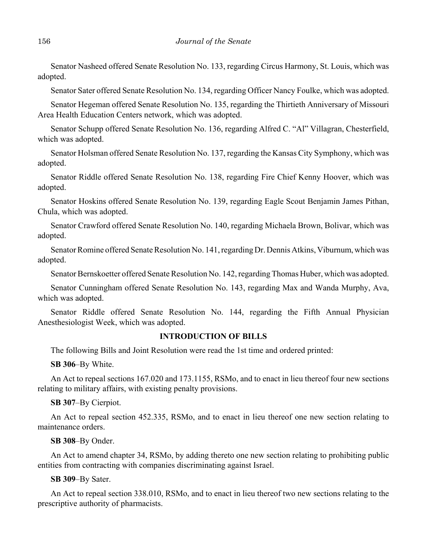Senator Nasheed offered Senate Resolution No. 133, regarding Circus Harmony, St. Louis, which was adopted.

Senator Sater offered Senate Resolution No. 134, regarding Officer Nancy Foulke, which was adopted.

Senator Hegeman offered Senate Resolution No. 135, regarding the Thirtieth Anniversary of Missouri Area Health Education Centers network, which was adopted.

Senator Schupp offered Senate Resolution No. 136, regarding Alfred C. "Al" Villagran, Chesterfield, which was adopted.

Senator Holsman offered Senate Resolution No. 137, regarding the Kansas City Symphony, which was adopted.

Senator Riddle offered Senate Resolution No. 138, regarding Fire Chief Kenny Hoover, which was adopted.

Senator Hoskins offered Senate Resolution No. 139, regarding Eagle Scout Benjamin James Pithan, Chula, which was adopted.

Senator Crawford offered Senate Resolution No. 140, regarding Michaela Brown, Bolivar, which was adopted.

Senator Romine offered Senate Resolution No. 141, regarding Dr. Dennis Atkins, Viburnum, which was adopted.

Senator Bernskoetter offered Senate Resolution No. 142, regarding Thomas Huber, which was adopted.

Senator Cunningham offered Senate Resolution No. 143, regarding Max and Wanda Murphy, Ava, which was adopted.

Senator Riddle offered Senate Resolution No. 144, regarding the Fifth Annual Physician Anesthesiologist Week, which was adopted.

## **INTRODUCTION OF BILLS**

The following Bills and Joint Resolution were read the 1st time and ordered printed:

**SB 306**–By White.

An Act to repeal sections 167.020 and 173.1155, RSMo, and to enact in lieu thereof four new sections relating to military affairs, with existing penalty provisions.

**SB 307**–By Cierpiot.

An Act to repeal section 452.335, RSMo, and to enact in lieu thereof one new section relating to maintenance orders.

**SB 308**–By Onder.

An Act to amend chapter 34, RSMo, by adding thereto one new section relating to prohibiting public entities from contracting with companies discriminating against Israel.

**SB 309**–By Sater.

An Act to repeal section 338.010, RSMo, and to enact in lieu thereof two new sections relating to the prescriptive authority of pharmacists.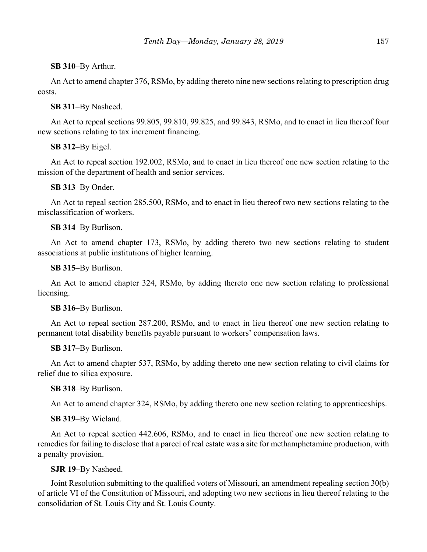## **SB 310**–By Arthur.

An Act to amend chapter 376, RSMo, by adding thereto nine new sections relating to prescription drug costs.

## **SB 311**–By Nasheed.

An Act to repeal sections 99.805, 99.810, 99.825, and 99.843, RSMo, and to enact in lieu thereof four new sections relating to tax increment financing.

## **SB 312**–By Eigel.

An Act to repeal section 192.002, RSMo, and to enact in lieu thereof one new section relating to the mission of the department of health and senior services.

## **SB 313**–By Onder.

An Act to repeal section 285.500, RSMo, and to enact in lieu thereof two new sections relating to the misclassification of workers.

## **SB 314**–By Burlison.

An Act to amend chapter 173, RSMo, by adding thereto two new sections relating to student associations at public institutions of higher learning.

## **SB 315**–By Burlison.

An Act to amend chapter 324, RSMo, by adding thereto one new section relating to professional licensing.

## **SB 316**–By Burlison.

An Act to repeal section 287.200, RSMo, and to enact in lieu thereof one new section relating to permanent total disability benefits payable pursuant to workers' compensation laws.

## **SB 317**–By Burlison.

An Act to amend chapter 537, RSMo, by adding thereto one new section relating to civil claims for relief due to silica exposure.

## **SB 318**–By Burlison.

An Act to amend chapter 324, RSMo, by adding thereto one new section relating to apprenticeships.

## **SB 319**–By Wieland.

An Act to repeal section 442.606, RSMo, and to enact in lieu thereof one new section relating to remedies for failing to disclose that a parcel of real estate was a site for methamphetamine production, with a penalty provision.

## **SJR 19**–By Nasheed.

Joint Resolution submitting to the qualified voters of Missouri, an amendment repealing section 30(b) of article VI of the Constitution of Missouri, and adopting two new sections in lieu thereof relating to the consolidation of St. Louis City and St. Louis County.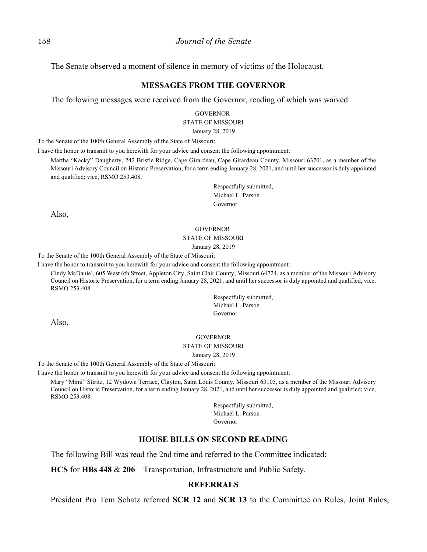The Senate observed a moment of silence in memory of victims of the Holocaust.

## **MESSAGES FROM THE GOVERNOR**

The following messages were received from the Governor, reading of which was waived:

GOVERNOR STATE OF MISSOURI

January 28, 2019

To the Senate of the 100th General Assembly of the State of Missouri:

I have the honor to transmit to you herewith for your advice and consent the following appointment:

Martha "Kacky" Daugherty, 242 Bristle Ridge, Cape Girardeau, Cape Girardeau County, Missouri 63701, as a member of the Missouri Advisory Council on Historic Preservation, for a term ending January 28, 2021, and until her successor is duly appointed and qualified; vice, RSMO 253.408.

> Respectfully submitted, Michael L. Parson Governor

Also,

#### GOVERNOR

#### STATE OF MISSOURI

January 28, 2019

To the Senate of the 100th General Assembly of the State of Missouri:

I have the honor to transmit to you herewith for your advice and consent the following appointment:

Cindy McDaniel, 605 West 6th Street, Appleton City, Saint Clair County, Missouri 64724, as a member of the Missouri Advisory Council on Historic Preservation, for a term ending January 28, 2021, and until her successor is duly appointed and qualified; vice, RSMO 253.408.

> Respectfully submitted, Michael L. Parson Governor

Also,

#### GOVERNOR

#### STATE OF MISSOURI

January 28, 2019

To the Senate of the 100th General Assembly of the State of Missouri:

I have the honor to transmit to you herewith for your advice and consent the following appointment:

Mary "Mimi" Stiritz, 12 Wydown Terrace, Clayton, Saint Louis County, Missouri 63105, as a member of the Missouri Advisory Council on Historic Preservation, for a term ending January 28, 2021, and until her successor is duly appointed and qualified; vice, RSMO 253.408.

> Respectfully submitted, Michael L. Parson Governor

# **HOUSE BILLS ON SECOND READING**

The following Bill was read the 2nd time and referred to the Committee indicated:

**HCS** for **HBs 448** & **206**––Transportation, Infrastructure and Public Safety.

## **REFERRALS**

President Pro Tem Schatz referred **SCR 12** and **SCR 13** to the Committee on Rules, Joint Rules,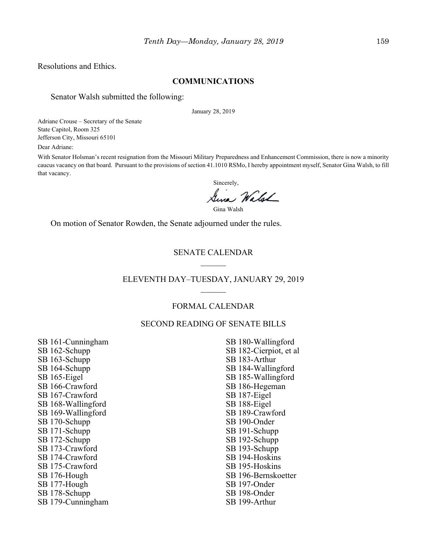Resolutions and Ethics.

## **COMMUNICATIONS**

## Senator Walsh submitted the following:

January 28, 2019

Adriane Crouse – Secretary of the Senate State Capitol, Room 325 Jefferson City, Missouri 65101

Dear Adriane:

With Senator Holsman's recent resignation from the Missouri Military Preparedness and Enhancement Commission, there is now a minority caucus vacancy on that board. Pursuant to the provisions of section 41.1010 RSMo, I hereby appointment myself, Senator Gina Walsh, to fill that vacancy.

Sincerely, Sina Walsh

Gina Walsh

On motion of Senator Rowden, the Senate adjourned under the rules.

# SENATE CALENDAR

## ELEVENTH DAY–TUESDAY, JANUARY 29, 2019

## FORMAL CALENDAR

## SECOND READING OF SENATE BILLS

SB 161-Cunningham SB 162-Schupp SB 163-Schupp SB 164-Schupp SB 165-Eigel SB 166-Crawford SB 167-Crawford SB 168-Wallingford SB 169-Wallingford SB 170-Schupp SB 171-Schupp SB 172-Schupp SB 173-Crawford SB 174-Crawford SB 175-Crawford SB 176-Hough SB 177-Hough SB 178-Schupp SB 179-Cunningham

SB 180-Wallingford SB 182-Cierpiot, et al SB 183-Arthur SB 184-Wallingford SB 185-Wallingford SB 186-Hegeman SB 187-Eigel SB 188-Eigel SB 189-Crawford SB 190-Onder SB 191-Schupp SB 192-Schupp SB 193-Schupp SB 194-Hoskins SB 195-Hoskins SB 196-Bernskoetter SB 197-Onder SB 198-Onder SB 199-Arthur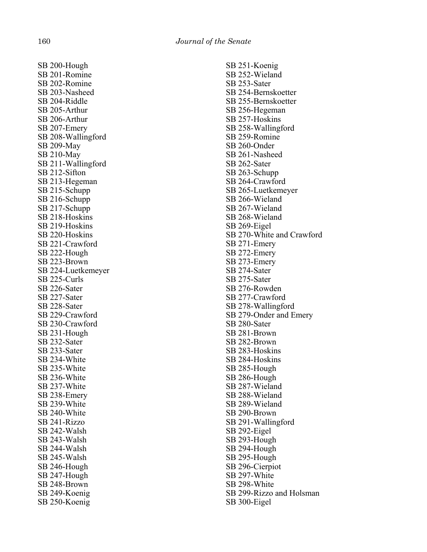SB 200-Hough SB 201-Romine SB 202-Romine SB 203-Nasheed SB 204-Riddle SB 205-Arthur SB 206-Arthur SB 207-Emery SB 208-Wallingford SB 209-May SB 210-May SB 211-Wallingford SB 212-Sifton SB 213-Hegeman SB 215-Schupp SB 216-Schupp SB 217-Schupp SB 218-Hoskins SB 219-Hoskins SB 220-Hoskins SB 221-Crawford SB 222-Hough SB 223-Brown SB 224-Luetkemeyer SB 225-Curls SB 226-Sater SB 227-Sater SB 228-Sater SB 229-Crawford SB 230-Crawford SB 231-Hough SB 232-Sater SB 233-Sater SB 234-White SB 235-White SB 236-White SB 237-White SB 238-Emery SB 239-White SB 240-White SB 241-Rizzo SB 242-Walsh SB 243-Walsh SB 244-Walsh SB 245-Walsh SB 246-Hough SB 247-Hough SB 248-Brown SB 249-Koenig SB 250-Koenig

SB 251-Koenig SB 252-Wieland SB 253-Sater SB 254-Bernskoetter SB 255-Bernskoetter SB 256-Hegeman SB 257-Hoskins SB 258-Wallingford SB 259-Romine SB 260-Onder SB 261-Nasheed SB 262-Sater SB 263-Schupp SB 264-Crawford SB 265-Luetkemeyer SB 266-Wieland SB 267-Wieland SB 268-Wieland SB 269-Eigel SB 270-White and Crawford SB 271-Emery SB 272-Emery SB 273-Emery SB 274-Sater SB 275-Sater SB 276-Rowden SB 277-Crawford SB 278-Wallingford SB 279-Onder and Emery SB 280-Sater SB 281-Brown SB 282-Brown SB 283-Hoskins SB 284-Hoskins SB 285-Hough SB 286-Hough SB 287-Wieland SB 288-Wieland SB 289-Wieland SB 290-Brown SB 291-Wallingford SB 292-Eigel SB 293-Hough SB 294-Hough SB 295-Hough SB 296-Cierpiot SB 297-White SB 298-White SB 299-Rizzo and Holsman SB 300-Eigel